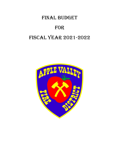# Final BUDGET

# FOR

# FISCAL YEAR 2021-2022

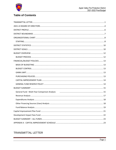

# **Table of Contents**

| General Fund - Multi-Year Comparison Analysis (2008) [2010] Ceneral Fund - Multi-Year Comparison Analysis (201 |
|----------------------------------------------------------------------------------------------------------------|
|                                                                                                                |
|                                                                                                                |
|                                                                                                                |
|                                                                                                                |
|                                                                                                                |
|                                                                                                                |
|                                                                                                                |
|                                                                                                                |

# <span id="page-1-0"></span>TRANSMITTAL LETTER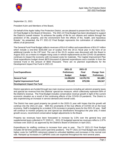

September 21, 2021

President Kuhn and Members of the Board,

On behalf of the Apple Valley Fire Protection District, we are pleased to present the Fiscal Year 2021- 22 Final Budget to the Board of Directors. The 2021-22 Final Budget has been developed to support the District's overall mission "to enhance the quality of life for our citizens and visitors through the protection of life, property, and the environment from the effects of fire, health, and hazardous threats." As presented, the FY 2021-22 Final Budget represents the culmination of collaborative efforts of all personnel.

The General Fund Final Budget reflects revenues of \$14.42 million and expenditures of \$14.57 million which include a one-time \$150,000 use of surplus from the 20-21 fiscal year in the form of an additional transfer to the CIP fund. The use of the 20-21 surplus was discussed with the Board in August 2021 as a means to mitigate rising costs in vehicle replacements as the COVID-19 pandemic continues to impact the economy with increased costs for materials. The Capital Improvement Plan Final expenditures budget shows \$879 thousand of planned expenditures and a transfer in from the General Fund in the amount of \$650 thousand. There are no planned expenditures for the Development Impact Fee Fund in 2021-22.

|                                    | 2021-22                  | 2021-22                  |             |
|------------------------------------|--------------------------|--------------------------|-------------|
| <b>Fund Expenditures</b>           | Preliminary              | Final                    | Change from |
|                                    | <b>Budget</b>            | <b>Budget</b>            | Preliminary |
| <b>General Fund</b>                | 14,208,850               | 14,570,735               | 361,885     |
| <b>Capital Improvement Fund</b>    | 695,029                  | 879,596                  | 184,567     |
| <b>Development Impact Fee Fund</b> | $\overline{\phantom{0}}$ | $\overline{\phantom{0}}$ |             |

District operations are funded through two main revenue sources including ad valorem property taxes and special tax revenue from the Districts' special tax measure, which collectively represent 90% of the District's revenue. The Final Budget includes conservative revenue growth in light of the current economic situation as a result of the continuing effects of the COVID-19 pandemic. The District is also experiencing an increase in service demand and overall costs.

The District has seen good property tax growth in the 2020-21 year with hopes that the growth will continue into the 2021-22 year. With the uncertainly of the true effects of COVID-19 on the local economy, Staff is budgeting for a modest 3.5% increase in property taxes for the 2021-22 year. Staff will continue to monitor property tax and special tax distributions throughout the year and, if noted growth occurs, recommend conservative budget adjustments to the Board.

Property tax revenues have been forecasted to increase by 3.5% over the general levy and supplemental taxes collected in FY 2020-21. 2021-22 budgeted special tax revenues reflect a 1.87% increase over 2020-21 as approved by the District's Board of Directors in April 2021.

Expenditures for staffing continue to increase from year to year. The FY 2021-22 Final Budget includes 59 full time positions and 6 part-time positions. The FY 2021-22 Final Budget also includes higher costs for CalPERS retirement related to unfunded liabilities and increases in the normal cost rate. Ramped up increases in CalPERS costs are expected throughout the next several years.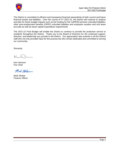

The District is committed to efficient and transparent financial stewardship of both current and future financial assets and liabilities. Over the course of FY 2021-22, the District will continue to analyze and plan for future budget impacts such as the funding for the CalPERS pension unfunded liabilities, other post-employment benefits (OPEP) unfunded liabilities and employee vacation and sick leave accruals as well as future capital expenditure requirements.

The 2021-22 Final Budget will enable the District to continue to provide fire protection service to residents throughout the District. Thank you to the Board of Directors for the continued support, direction, and leadership you provide to the District. Our appreciation also extends to all the District staff who not only provided input for this process but who remain dedicated and committed to serving our community.

Sincerely,

Ken Harrison Fire Chief

Mich Stree

Mark Shaker Finance Officer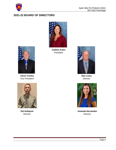

## <span id="page-4-0"></span>**2021-22 BOARD OF DIRECTORS**



**Colleen Kuhn** President



**Dan Leary Director** 



**Amanda Hernandez Director** 



**Aaron Conley** Vice President



**Sid Hultquist Director**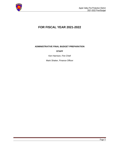

# **FOR FISCAL YEAR 2021-2022**

#### **ADMINISTRATIVE FINAL BUDGET PREPARATION**

#### **STAFF**

Ken Harrison, Fire Chief

Mark Shaker, Finance Officer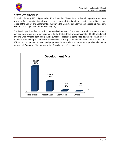

## <span id="page-6-0"></span>**DISTRICT PROFILE**

Formed in January 1951, Apple Valley Fire Protection District (District) is an independent and selfgoverned fire protection district governed by a board of five directors. Located in the high desert region of the County of San Bernardino (County), the District's boundary encompasses a 206 square mile area and population of approximately 94,000.

The District provides fire protection, paramedical services, fire prevention and code enforcement services to a varied mix of development. In the District there are approximately 26,300 residential dwelling units ranging from single-family dwellings, apartment complexes, town homes and mobile homes which make up 97 percent of all developed property. Commercial development accounts for 607 parcels or 2 percent of developed property while vacant land accounts for approximately 10,833 parcels or 27 percent of the parcels in the District's area of responsibility.

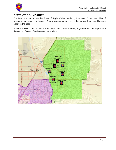

## <span id="page-7-0"></span>**DISTRICT BOUNDARIES**

The District encompasses the Town of Apple Valley, bordering Interstate 15 and the cities of Victorville and Hesperia to the west; County unincorporated areas to the north and south, and Lucerne Valley to the east.

Within the District boundaries are 22 public and private schools, a general aviation airport, and thousands of acres of undeveloped vacant land.

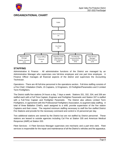

### <span id="page-8-0"></span>**ORGANIZATIONAL CHART**



#### <span id="page-8-1"></span>**STAFFING**

Administrative & Finance - All administrative functions of the District are managed by an Administrative Manager who supervises one full-time employee and one part time employee. A Finance Officer manages all financial aspects of the district and supervises the Accounting Technician.

Operations - There are 48 full-time personnel in the operations section. Full-time staffing consists of a Fire Chief, 3 Battalion Chiefs, 15 Captains, 12 Engineers, 15 Firefighter/Paramedics and 3 Limited Term Firefighters.

The District staffs five stations 24 hours a day, 7 days a week. Stations 331, 332, 334, and 336 are staffed each with a Full Time Captain, Engineer and Firefighter Paramedic and Station 337 is staffed with a Full-Time Captain and Firefighter Paramedic. The District also utilizes Limited Term Firefighters, in agreement with the Professional Firefighters Association, to augment daily staffing. A total of three Battalion Chief's, each assigned to a shift, provide supervision of the five station Captains and their crews. The required minimum staffing necessary to staff the five staffed District Fire Stations and provide for the necessary command and control is 15 personnel per day.

Two additional stations are owned by the District but are not staffed by District personnel. These stations are leased to outside agencies including Cal Fire at Station 335 and American Medical Response (AMR) at Station 333.

Fleet Services - A Fleet Services Manager supervises one mechanic and a part time clerk. Fleet services is responsible for the repair and maintenance of all the District's vehicles and fire apparatus.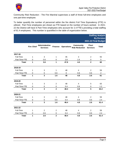

Community Risk Reduction - The Fire Marshal supervises a staff of three full-time employees and one part-time employee.

To better quantify the number of personnel within the fire district Full Time Equivalency (FTE) is utilized. Part-Time employees are shown as FTE based on the number of hours worked. In 2021- 22 the District will have 6 Part-Time employees who account for 2.4 FTE's providing a total staffing of 61.4 employees. This number is quantified in the table of organization below.

|               |                   |                                   |                         |                   | <b>Staffing Analysis</b><br><b>By Division</b><br>2021-22 Final Budget |                                 |                  |
|---------------|-------------------|-----------------------------------|-------------------------|-------------------|------------------------------------------------------------------------|---------------------------------|------------------|
|               | <b>Fire Chief</b> | Administrative<br><b>Services</b> | <b>Finance</b>          | <b>Operations</b> | <b>Community</b><br><b>Risk Reduction</b>                              | <b>Fleet</b><br><b>Services</b> | <b>Total</b>     |
| 2017-18       |                   |                                   |                         |                   |                                                                        |                                 |                  |
| Full-Time     | 1                 | 3                                 | 1                       | 45                | 3                                                                      | $\overline{2}$                  | 55               |
| Part-Time FTE | 0                 | 0.6                               | $\mathbf 0$             | 2.8               | 1.6                                                                    | $\pmb{0}$                       | $\sqrt{5}$       |
| <b>Total</b>  | 1                 | 3.6                               | 1                       | 47.8              | 4.6                                                                    | $\overline{\mathbf{2}}$         | 60               |
| 2018-19       |                   |                                   |                         |                   |                                                                        |                                 |                  |
| Full-Time     | 1                 | 3                                 | 1                       | 48                | 4                                                                      | $\overline{2}$                  | 59               |
| Part-Time FTE | 0                 | $\boldsymbol{0}$                  | 0.6                     | 0                 | 0.8                                                                    | 0.6                             | $\boldsymbol{2}$ |
| <b>Total</b>  | 1                 | $\overline{3}$                    | 1.6                     | 48                | 4.8                                                                    | 2.6                             | 61               |
| 2019-20       |                   |                                   |                         |                   |                                                                        |                                 |                  |
| Full-Time     | 1                 | 3                                 | $\overline{2}$          | 48                | 4                                                                      | 5                               | 63               |
| Part-Time FTE | 0                 | $\mathbf 0$                       | $\boldsymbol{0}$        | 0.4               | 0.8                                                                    | $\mathbf 0$                     | 1.2              |
| <b>Total</b>  | 1                 | $\overline{3}$                    | $\overline{\mathbf{2}}$ | 48.4              | 4.8                                                                    | 5                               | 64.2             |
| 2020-21       |                   |                                   |                         |                   |                                                                        |                                 |                  |
| Full-Time     | 1                 | 3                                 | 1                       | 48                | 4                                                                      | $\overline{2}$                  | 59               |
| Part-Time FTE | 0                 | 0                                 | 0.6                     | 0.4               | 0.8                                                                    | 0.6                             | 2.4              |
| <b>Total</b>  | 1                 | $\overline{\mathbf{3}}$           | 1.6                     | 48.4              | 4.8                                                                    | 2.6                             | 61.4             |
| 2021-22       |                   |                                   |                         |                   |                                                                        |                                 |                  |
| Full-Time     | 1                 | $\overline{2}$                    | $\overline{2}$          | 48                | 4                                                                      | $\overline{2}$                  | 59               |
| Part-Time FTE | 0                 | 0.6                               | 0                       | 0.4               | 0.8                                                                    | 0.6                             | 2.4              |
| <b>Total</b>  | 1                 | 2.6                               | $\overline{\mathbf{2}}$ | 48.4              | 4.8                                                                    | 2.6                             | 61.4             |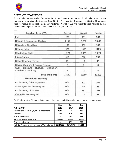

## <span id="page-10-0"></span>**DISTRICT STATISTICS**

For the calendar year ended December 2020, the District responded to 13,209 calls for service, an increase of approximately 4 percent from 2019. The majority of responses, 9,688 or 73 percent, were for rescue or medical emergency incidents. A total of 299 fire incidents were handled by the District including structure fires, vehicle fires and vegetation fires.

<span id="page-10-1"></span>

| <b>Incident Type YTD</b>                                     | <b>Dec-18</b> | <b>Dec-19</b> | <b>Dec-20</b> |
|--------------------------------------------------------------|---------------|---------------|---------------|
| Fire                                                         | 229           | 299           | 302           |
| Rescue & Emergency Medical                                   | 9,165         | 9,332         | 9,688         |
| <b>Hazardous Condition</b>                                   | 132           | 152           | 143           |
| <b>Service Calls</b>                                         | 972           | 1000          | 1103          |
| Good Intent Calls                                            | 1,273         | 1,499         | 1,621         |
| <b>False Alarms</b>                                          | 313           | 368           | 335           |
| Special Incident Types                                       | 27            | 18            | 13            |
| Severe Weather & Natural Disaster                            | 2             | $\mathbf{1}$  | 0             |
| pressure Rupture, Explosion,<br>Over<br>Overheat - (No Fire) | 6             | 11            | 4             |
| <b>Total Incidents</b>                                       | 12119         | 12680         | 13209         |
| <b>Mutual Aid Tracking</b>                                   |               |               |               |
| AV Assisting Other Agencies                                  | N/A           | 122           | 169           |
| Other Agencies Assisting AV                                  | N/A           | 64            | 89            |
| AV Assisting Victorville                                     | N/A           | 181           | 203           |
| Victorville Assisting AV                                     | N/A           | 73            | 86            |

The Fire Prevention Division activities for the three years ended December are shown in the table below:

|                                           | <b>Dec</b> | <b>Dec</b> | <b>Dec</b> |
|-------------------------------------------|------------|------------|------------|
| <b>Activity YTD</b>                       | 2018       | 2019       | 2020       |
| Inspections (Annuals, C/O, Development    | 1612       | 1571       | 786        |
| Permits                                   | 400        | 415        | 420        |
| Fire Plan Reviews                         | 252        | 262        | 198        |
| <b>Vegetation Management</b>              | 40000      | 42000      | 35000      |
| Fire Investigations                       | 151        | 251        | 208        |
| Pub-Ed Programs: # of programs/Attendance | 92/14650   | 96/10672   | 16/258     |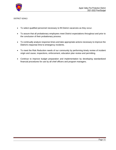

#### DISTRICT GOALS

- To select qualified personnel necessary to fill District vacancies as they occur.
- To assure that all probationary employees meet District expectations throughout and prior to the conclusion of their probationary process.
- To continually analyze response times and take appropriate actions necessary to improve the District's response time to emergency incidents.
- To meet the Risk Reduction needs of our community by performing timely review of incident origin and cause, inspections, enforcement, education plan review and permitting.
- Continue to improve budget preparation and implementation by developing standardized financial procedures for use by all chief officers and program managers.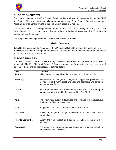

### <span id="page-12-0"></span>**BUDGET OVERVIEW**

The budget document is the Fire District's fiscal year financial plan. It is prepared by the Fire Chief and Finance Officer with input from all program managers and Board Finance Committee members. Approval requires a majority vote of the Fire District Board of Directors.

The District's FY 2021-22 budget covers the period from July 1, 2021 through June 30, 2022. The Final General Fund budget shows \$14.42 million in budgeted revenues, \$14.57 million in expenditures and Transfers.

The budget was developed with the District's overall mission in mind:

#### **Mission Statement**

It shall be the mission of the Apple Valley Fire Protection District to enhance the quality of life for our citizens and visitors through the protection of life, property, and the environment from the effects of fire, health, and hazardous threats.

#### <span id="page-12-1"></span>**BUDGET PROCESS**

The District's overall budget process is a very collaborative one, with input provided from all levels of personnel. The Fire Chief and Finance Officer are responsible for directing this process. A brief timeline of the normal budget process is outlined below:

| <b>Date</b>               | <b>Function</b>                                                                                                                                              |
|---------------------------|--------------------------------------------------------------------------------------------------------------------------------------------------------------|
| January                   | Initial budget cycle timeline/plan is presented to the Fire Chief.                                                                                           |
| <b>February</b>           | Executive Staff & Program Managers and applicable personnel are<br>provided current year budget and year end estimates and complete<br>budget request forms. |
| <b>March</b>              | All budget requests are presented by Executive Staff & Program<br>Managers and reviewed by Finance and the Fire Chief                                        |
| <b>April</b>              | The Preliminary budget is developed and reviewed with the Executive<br>Staff and the Finance Committee.                                                      |
| May                       | Budget Workshop is conducted with the District Board.                                                                                                        |
| Mid-June                  | Preliminary budget and budget resolution are presented to the Board<br>for adoption.                                                                         |
| <b>Prior to September</b> | Submit the final budget and budget resolution to the Board for<br>adoption.                                                                                  |
| <b>Periodically</b>       | The budget is reviewed for potential adjustments which are brought to<br>the Board for consideration.                                                        |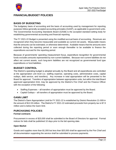

## <span id="page-13-0"></span>**FINANCIAL/BUDGET POLICIES**

#### <span id="page-13-1"></span>**BASIS OF BUDGETING**

The budgetary basis of accounting and the basis of accounting used by management for reporting purposes follow generally accepted accounting principles (GAAP), as applicable to government units. The Governmental Accounting Standards Board (GASB) is the accepted standard-setting body for establishing governmental accounting and financial reporting.

The FY 2021-22 Budget is presented using the modified-accrual basis of accounting. Revenues are recognized when they become measurable and available as current net assets. Measurable means that the amounts can be estimated, or otherwise determined. Available means that the amounts were collected during the reporting period or soon enough thereafter to be available to finance the expenditures accrued for the reporting period.

Because of governments' spending measurement focus, expenditure recognition for governmental funds excludes amounts represented by non-current liabilities. Because non-current liabilities do not affect net current assets, such long-term liabilities are not recognized as governmental fund type expenditures or fund liabilities.

#### <span id="page-13-2"></span>**BUDGET CONTROL**

The District's operating budget is adopted annually by the Board and all expenditures are controlled at the appropriation unit level (i.e. staffing expense, operating costs, administrative costs, capital outlays, debt service, and transfers). Any increase in total appropriation will be presented to the Board for approval. Transfers of appropriation between appropriation units, but within the total Board approved appropriation limit, may be approved by the District's Fire Chief and the Finance Officer with the exception of the following:

- Staffing Expenses all transfers of appropriation must be approved by the Board.
- Capital Outlays all transfers of appropriation must be approved by the Board.

#### <span id="page-13-3"></span>**GANN LIMIT**

The District's Gann Appropriation Limit for FY 2021-22 is established by District Resolution 21-009 in the amount of \$12.03 million. The District's FY 2021-22 estimated proceeds from property tax is \$7.9 million and is below the Gann limit.

#### <span id="page-13-4"></span>**PURCHASING POLICIES**

#### **Formal contracts**

Procurement in excess of \$20,000 shall be submitted to the Board of Directors for approval. Formal notices for bids shall be published 10 days prior to the bid opening date.

#### **Open Market**

Goods and supplies more than \$1,000 but less than \$20,000 shall be approved by the Fire Chief and all documentation supporting the service shall be submitted to process payments.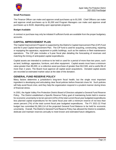

#### **Small Purchases**

The Finance Officer can make and approve small purchases up to \$1,500. Chief Officers can make and approve small purchases up to \$1,000 and Program Managers can make and approve small purchases up to \$100, depending upon appropriate programs.

#### **Budget Available**

A contract or purchase may only be initiated if sufficient funds are available from the proper budgetary accounts.

#### <span id="page-14-0"></span>**CAPITAL IMPROVEMENT PLAN**

The Capital Improvement Program is supported by the District's Capital Improvement Plan (CIP) Fund and the 5-year Capital Improvement Plan. The CIP fund is used for acquiring, constructing, repairing or equipping fire apparatus, equipment or public buildings, such as fire stations or fleet maintenance operations. The CIP plan includes a 5-year fiscal plan detailing the forecasting of revenues and matching the timing of anticipated capital expenditures.

Capital assets are intended to continue to be held or used for a period of more than two years, such as land, buildings, apparatus, furniture, and other equipment. Capital assets must have a minimum value greater than \$5,000, or a collective asset purchase of greater than \$12,500, and a useful life of more than 2 years. The Board must approve all capital asset acquisitions. Donated capital assets are recorded at estimated market value at the date of the donation.

#### <span id="page-14-1"></span>**GENERAL FUND RESERVE POLICY**

Many factors determine a jurisdiction's long-term fiscal health, but the single most important ingredient is developing and articulating clear fiscal policies before financial crises hit. Such policies will help avoid fiscal crisis; and they help the organization respond in a prudent manner during times of financial stress.

In 2001, the Apple Valley Fire Protection District Board of Directors adopted a General Fund Reserve Policy. The District established a Specific Reserve Policy goal of maintaining funds held in reserve for economic uncertainty to be ten percent (10%) of the total current fiscal year budgeted expenditures less planned capital expenditures for the same fiscal year with a minimum reserve of not less than seven percent (7%) of the total current fiscal year budgeted expenditures. The FY 2021-22 Final budget has committed \$1,369,114 of the projected General Fund Balance to be held for economic uncertainty. Overall, The District's General Fund Reserve Policy has allowed the District to establish, dedicate and maintain reserves annually to meet known and estimated future obligations.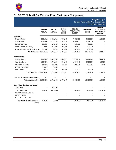

# <span id="page-15-1"></span><span id="page-15-0"></span>**BUDGET SUMMARY** General Fund Multi-Year Comparison

|                                         |                          |                          |                                          |                                                | <b>General Fund Multi-Year Comparison</b> | <b>Budget Analysis</b><br>2021-22 Final Budget                              |
|-----------------------------------------|--------------------------|--------------------------|------------------------------------------|------------------------------------------------|-------------------------------------------|-----------------------------------------------------------------------------|
|                                         | 2018-19<br><b>ACTUAL</b> | 2019-20<br><b>ACTUAL</b> | 2020-21<br><b>FINAL</b><br><b>BUDGET</b> | 2021-22<br><b>PRELIMINARY</b><br><b>BUDGET</b> | 2021-22 FINAL<br><b>BUDGET</b>            | <b>CHANGE</b><br><b>FROM 2021-22</b><br><b>PRELIMINARY</b><br><b>BUDGET</b> |
| <b>REV ENUES</b>                        |                          |                          |                                          |                                                |                                           |                                                                             |
| <b>Property Taxes</b>                   | 6,621,412                | 6,917,791                | 6,967,995                                | 7,751,950                                      | 7,963,835                                 | 211,885                                                                     |
| <b>Special Taxes</b>                    | 5,154,893                | 5,136,458                | 5,363,150                                | 5,353,000                                      | 5,353,000                                 |                                                                             |
| Intergovernmental                       | 681,888                  | 305,479                  | 638,000                                  | 400,000                                        | 400,000                                   |                                                                             |
| Use of Property and Money               | 292,192                  | 271,935                  | 326,000                                  | 295,000                                        | 295,000                                   |                                                                             |
| Charges for Services/Other Revenue      | 307,433                  | 254,764                  | 412,372                                  | 408,900                                        | 408,900                                   |                                                                             |
| <b>Total Revenues 13,057,818</b>        |                          | 12,886,427               | 13,707,517                               | 14,208,850                                     | 14,420,735                                | 211,885                                                                     |
| <b>EXPENDITURES</b>                     |                          |                          |                                          |                                                |                                           |                                                                             |
| <b>Staffing Expense</b>                 | 9,442,135                | 9,961,159                | 10,680,621                               | 11,315,505                                     | 11,513,448                                | 197,943                                                                     |
| <b>Operating Costs</b>                  | 1,596,802                | 1,757,160                | 1,906,873                                | 1,584,840                                      | 1,596,340                                 | 11,500                                                                      |
| <b>Administrative Costs</b>             | 686,354                  | 791,949                  | 769,994                                  | 798,305                                        | 800,747                                   | 2,442                                                                       |
| <b>Capital Expenditures</b>             | 29,422                   | 23,900                   |                                          |                                                |                                           |                                                                             |
| Debt Service                            | 8,555                    | 185,150                  | 350,029                                  | 10,200                                         | 10,200                                    |                                                                             |
| Total Expenditures 11,763,268           |                          | 12,719,318               | 13,707,517                               | 13,708,850                                     | 13,920,735                                | 211,885                                                                     |
| <b>Appropriations for Contingencies</b> |                          |                          |                                          |                                                |                                           |                                                                             |
| Total Appropriations 11,763,268         |                          | 12,719,318               | 13,707,517                               | 13,708,850                                     | 13,920,735                                | 211,885                                                                     |
| <b>Other Financing Sources (Uses)</b>   |                          |                          |                                          |                                                |                                           |                                                                             |
| Transfers In                            |                          | 411,406                  |                                          |                                                |                                           |                                                                             |
| Transfers Out (CIP)                     | (600,000)                | (500,000)                |                                          | (500,000)                                      | (650,000)                                 | (150,000)                                                                   |
| Proceeds from insured loss              |                          |                          |                                          |                                                |                                           |                                                                             |
| PASIS dividends                         |                          |                          |                                          |                                                |                                           |                                                                             |
| Proceeds from Sale of Assets            |                          |                          |                                          |                                                |                                           |                                                                             |
| <b>Total Other Financing Sources</b>    | (600,000)                | (88, 594)                |                                          | (500,000)                                      | (650,000)                                 | (150,000)                                                                   |

**(Uses)**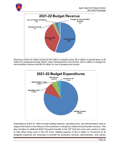



Revenues of \$14.42 million include \$7.96 million in property taxes, \$5.3 million in special taxes, \$.40 million for Intergovernmental (Strike Team reimbursement and Grants), \$0.41 million in charges for services/other revenue and \$0.29 million for use of property and money.



Expenditures of \$14.57 million include staffing expense, operating costs, and administrative costs to support the District in the delivery of fire protection, emergency medical and prevention services. This also includes an additional \$150 Thousand transfer to the CIP fund from prior year surplus in order to help offset rising costs in the CIP Fund. Staffing expense of \$11.5 million or 79 percent of all budgeted expenses are necessary to provide fire protection services, administration, and various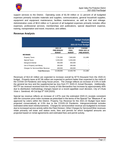

support services to the District. Operating costs of \$1.59 million or 11 percent of all budgeted expenses primarily includes materials and supplies, communications, general household supplies, equipment and equipment maintenance, facilities maintenance, as well as fuel and mileage. Administrative costs of \$0.8 million or 5 percent of all budgeted expenses primarily includes office expenses, professional services, memberships and publications, special department expense, training, transportation and travel, insurance, and utilities.

#### <span id="page-17-0"></span>**Revenue Analysis**

|                                    |                                                |                                          | <b>Budget Analysis</b><br><b>Revenue</b><br>2021-22 Final Budget |
|------------------------------------|------------------------------------------------|------------------------------------------|------------------------------------------------------------------|
|                                    | 2021-22<br><b>PRELIMINARY</b><br><b>BUDGET</b> | 2021-22<br><b>FINAL</b><br><b>BUDGET</b> | <b>CHANGE</b><br><b>FROM 2021-22</b><br><b>PRELIMINARY</b>       |
| <b>REVENUES</b>                    |                                                |                                          |                                                                  |
| <b>Property Taxes</b>              | 7,751,950                                      | 7.963,835                                | 211,885                                                          |
| <b>Special Taxes</b>               | 5,353,000                                      | 5,353,000                                |                                                                  |
| Intergovernmental                  | 400.000                                        | 400.000                                  |                                                                  |
| Use of Property and Money          | 295.000                                        | 295,000                                  |                                                                  |
| Charges for Services/Other Revenue | 408,900                                        | 408,900                                  |                                                                  |
| <b>Total Revenues</b>              | 14,208,850                                     | 14,420,735                               | 211,885                                                          |

Revenues of \$14.42 million are expected to increase overall by \$773 thousand from the 2020-21 budget. Property taxes at \$7.96 million are expected to perform better than expected in the midst of the COVID-19 Pandemic and rising house prices. The change reflects an increase of 3.5% in both the general tax levy and the supplemental tax levy from FY 2020-21 Actual Receipts. Additionally, RPTTF tax revenue received from the County of San Bernardino has increase by approximately 40% due to distribution methodology changes based on a recent appellate court decision*, City of Chula Vista v. Sandoval, 49 Cal.App.5th 539 (*2020).

Special tax revenue reflects an increase of 1.87% over the estimated 2020-21 receipts consistent with the consumer price index increase as prescribed in the terms of the Special Tax "Measure A" as approved by voters within the District. Property Tax Revenue for the 2021-22 Budget have been projected conservatively at 3.5% due to the COVID-19 Pandemic. Intergovernmental includes estimated strike team reimbursements. Charges for services/other revenue are budgeted to increase due to increased service activity within the Fleet Division. Other Charges for Services/Other revenues relate primarily cell tower and station rents, fees and permits for which budgeted amounts are projected based on rental agreements and estimated fees and permit activity.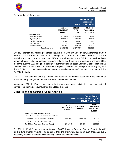

#### <span id="page-18-0"></span>**Expenditures Analysis**

|                           |                                                |                                          | <b>Budget Analysis</b><br><b>Expenditures</b><br>2021-22 Final Budget |
|---------------------------|------------------------------------------------|------------------------------------------|-----------------------------------------------------------------------|
|                           | 2021-22<br><b>PRELIMINARY</b><br><b>BUDGET</b> | 2021-22<br><b>FINAL</b><br><b>BUDGET</b> | <b>CHANGE</b><br><b>FROM 2021-22</b><br><b>PRELIMINARY</b>            |
| <b>EXPENDITURES</b>       |                                                |                                          |                                                                       |
| <b>Staffing Expense</b>   | 11,315,505                                     | 11,513,448                               | 197,943                                                               |
| <b>Operating Costs</b>    | 1,584,840                                      | 1,596,340                                | 11,500                                                                |
| Administrative Costs      | 798,305                                        | 800.747                                  | 2.442                                                                 |
| Debt Service              | 10.200                                         | 10.200                                   |                                                                       |
| Transfer to CIP           | 500,000                                        | 650,000                                  | 150,000                                                               |
| <b>Total Expenditures</b> | 14,208,850                                     | 14,570,735                               | 361,885                                                               |

Overall, expenditures, including contingencies, are increasing to \$14.57 million, an increase of \$863 thousand from the Fiscal Year 2020-21 Budget and an increase of \$361 thousand from the preliminary budget due to an additional \$150 thousand transfer to the CIP fund as well as rising personnel costs. Staffing expense, including salaries and benefits, is projected to increase \$831 thousand over the 2021 budget. In addition to current personnel costs, Staffing Expense includes an increase over 2020-21 of \$351 thousand in the required CalPERS unfunded pension liability payment due in FY 2021-22. Strike team reimbursements are estimated at \$300 thousand consistent with the FY 2020-21 budget.

The 2021-22 Budget includes a \$310 thousand decrease in operating costs due to the removal of one-time anticipated grant expenses that were budgeted in 2020-21.

Increases in 2021-22 Final budget administrative costs are due to anticipated higher professional service fees, training costs, insurance and utilities expense.

|                                               |                                                | <b>Other Financing Sources (Uses)</b> | <b>Budget Analysis</b><br>2021-22 Final Budget                              |
|-----------------------------------------------|------------------------------------------------|---------------------------------------|-----------------------------------------------------------------------------|
|                                               | 2021-22<br><b>PRELIMINARY</b><br><b>BUDGET</b> | 2021-22 FINAL<br><b>BUDGET</b>        | <b>CHANGE</b><br><b>FROM 2021-22</b><br><b>PRELIMINARY</b><br><b>BUDGET</b> |
| <b>Other Financing Sources (Uses)</b>         |                                                |                                       |                                                                             |
| Transfers In to General Fund for Expenditures |                                                |                                       |                                                                             |
| Transfers from General Fund to CIP Fund       | (500,000)                                      | (650,000)                             | (150,000)                                                                   |
| Transfers from DIF Fund to CIP Fund           |                                                |                                       |                                                                             |
| <b>Total Other Financing Sources (Uses)</b>   | (500,000)                                      | (650,000)                             | (150,000)                                                                   |

#### <span id="page-18-1"></span>**Other Financing Sources (Uses) Analysis**

The 2021-22 Final Budget includes a transfer of \$650 thousand from the General Fund to the CIP fund to fund Capital Projects. This is higher than the preliminary budget of \$500 thousand but a necessary addition in order to mitigate rising vehicle replacement costs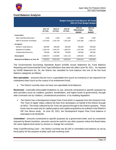

#### <span id="page-19-0"></span>**Fund Balance Analysis**

|                                      | <b>Budget Analysis Fund Balance All Funds</b><br>2021-22 Final Budget Budget |                          |                          |                                                |                                          |  |  |  |  |  |
|--------------------------------------|------------------------------------------------------------------------------|--------------------------|--------------------------|------------------------------------------------|------------------------------------------|--|--|--|--|--|
|                                      | 2017-18<br><b>ACTUAL</b>                                                     | 2018-19<br><b>ACTUAL</b> | 2019-20<br><b>ACTUAL</b> | 2021-22<br><b>PRELIMINARY</b><br><b>BUDGET</b> | 2021-22<br><b>FINAL</b><br><b>BUDGET</b> |  |  |  |  |  |
| Committed                            |                                                                              |                          |                          |                                                |                                          |  |  |  |  |  |
| Petty Cash/Revolving Cash            | 2,250                                                                        | 2,250                    | 2,250                    | 2,250                                          | 2,250                                    |  |  |  |  |  |
| <b>Held for Economic Uncertainty</b> | 1,072,482                                                                    | 1,181,759                | 1,401,250                | 1,351,382                                      | 1,369,114                                |  |  |  |  |  |
| <b>Assigned</b>                      |                                                                              |                          |                          |                                                |                                          |  |  |  |  |  |
| Workers' Comp Reserve                | 600,000                                                                      | 600,000                  | 600,000                  | 600,000                                        | 600,000                                  |  |  |  |  |  |
| Equipment & Facilities               | 1,252,478                                                                    | 1,544,797                | 1,390,575                | 1,257,546                                      | 1,222,979                                |  |  |  |  |  |
| <b>Compensated Absences</b>          | 736,848                                                                      | 862,330                  | 736,848                  | 548,392                                        | 548,392                                  |  |  |  |  |  |
| Unassigned                           | 3,495,973                                                                    | 4,129,883                | 3,914,118                | 4,255,842                                      | 4,088,110                                |  |  |  |  |  |
| Ending Fund Balance at June 30       | 7,160,031                                                                    | 8,321,019                | 8,045,041                | 8,015,412                                      | 7,830,845                                |  |  |  |  |  |

The Governmental Accounting Standards Board (GASB) issued Statement 54, Fund Balance Reporting and Governmental Fund Type Definitions that went into effect June 30, 2011. As required by GASB Statement No. 54, the District has classified its fund balance into one of the five fund balance categories as follows:

**Non-spendable** – amounts that are not in a spendable form (such as inventory) or are required to be maintained intact (such as the corpus of an endowment fund).

The District currently does not have non-spendable fund balances.

**Restricted –** externally enforceable limitations on use, amounts constrained to specific purposes by their providers (such as creditors, grantors, bondholders, and higher levels of government), through debt covenants set by creditors, constitutional provisions, or by enabling legislation

• The District has a Development Impact Fees Fund which is separate from the General Fund. The Town of Apple Valley collects the fees from developers on behalf of the District through an MOU. The funds collected by the Town are passed through to the District quarterly. These funds may be used only for capital projects and capital acquisitions as outlined in the District's DIF Fee Nexus study. At June 30, 2021, the Development Impact Fees Fund balance is estimated to be \$149,691.

**Committed –** amounts constrained to specific purposes by a government itself, such as constraints imposed by Board resolution, amounts cannot be used for any other purpose unless the Board takes the same highest-level action to remove or change the constraint.

Petty Cash/Revolving Cash – the District currently has \$2,250 in committed fund balance as set by fiscal policy for the purpose of petty cash and revolving cash.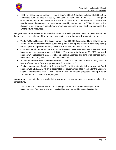

• Held for Economic Uncertainty – the District's 2021-22 Budget includes \$1,369,114 in committed fund balance as set by resolution to hold 10% of the 2021-22 Budgeted expenditures, less expenditures for Capital Improvements, for said reserves. It should be noted that with the economic uncertainty presented by the pandemic COVID-19 impacts, the decision to not engage in capital improvement expenditures in this fiscal year increases the available fund resources.

**Assigned** – amounts a government intends to use for a specific purpose; intent can be expressed by the governing body or by an official or body to which the governing body delegates the authority.

- Worker's Comp Reserve the District currently has \$600,000 in assigned fund balance for its Worker's Comp Reserve due to its outstanding worker's comp liabilities from claims originating under a prior joint powers authority which was dissolved on June 30, 2015.
- Compensated Absences at June 30, 2020, the District estimates \$548,392 in assigned fund balance for compensated absence liabilities. This amount is the June 30, 2022 budgeted balance which represents 67% of total compensated absences and employee accrued leave balances at June 30, 2020. The amount is an estimate.
- Equipment and Facilities The General Fund balance shows \$650 thousand designated to be transferred to the Capital Improvements Fund in 2021-22.
- Capital Improvement Fund at June 30, 2020, the District's Capital Improvement Fund balance was \$1,388,575 which is designated for equipment and facilities under the District's Capital Improvement Plan. The District's 2021-22 Budget projected ending Capital Improvement fund balance is \$1,222,979.

**Unassigned –** amounts that are available for any purpose; these amounts are reported only in the general fund.

The District's FY 2021-22 General Fund Budget has \$4.08 million in unassigned fund balance as this fund balance is not classified in any other fund balance classification.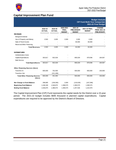

# <span id="page-21-0"></span>**Capital Improvement Plan Fund**

#### **Budget Analysis CIP Fund Multi-Year Comparison 2021-22 Final Budget**

|                                                | 2018-19<br><b>ACTUAL</b> | 2019-20<br><b>ACTUAL</b> | 2020-2021<br><b>FINAL</b><br><b>BUDGET</b> | 2021-22<br><b>PRELIMINARY</b><br><b>BUDGET</b> | 2021-22 FINAL<br><b>BUDGET</b> | <b>CHANGE</b><br><b>FROM 2021-22</b><br><b>PRELIMINARY</b> |
|------------------------------------------------|--------------------------|--------------------------|--------------------------------------------|------------------------------------------------|--------------------------------|------------------------------------------------------------|
| <b>REVENUES</b>                                |                          |                          |                                            |                                                |                                |                                                            |
| Intergovernmental                              |                          |                          |                                            |                                                |                                |                                                            |
| Use of Property and Money                      | 2,502                    | 2,635                    | 2,000                                      | 2,000                                          | 2,000                          |                                                            |
| Sale of Fixed Assets                           |                          |                          |                                            | 60,000                                         | 60,000                         |                                                            |
| Reserves/Other Financing                       |                          |                          |                                            |                                                |                                |                                                            |
| <b>Total Revenues</b>                          | 2,502                    | 2,635                    | 2,000                                      | 62,000                                         | 62,000                         |                                                            |
| <b>EXPENDITURES</b>                            |                          |                          |                                            |                                                |                                |                                                            |
| <b>Administrative Costs</b>                    |                          |                          |                                            |                                                |                                |                                                            |
| Capital Expenditures                           | 303,817                  | 502,029                  |                                            | 695,029                                        | 879,596                        | 184,567                                                    |
| Debt Service                                   |                          |                          |                                            |                                                |                                |                                                            |
| <b>Total Expenditures</b>                      | 303,817                  | 502,029                  |                                            | 695,029                                        | 879,596                        | 184,567                                                    |
| <b>Other Financing Sources (Uses)</b>          |                          |                          |                                            |                                                |                                |                                                            |
| Transfers In                                   | 600,000                  | 752,500                  |                                            | 500,000                                        | 650,000                        | 150,000                                                    |
| <b>Transfers Out</b>                           |                          | (411, 406)               |                                            |                                                |                                |                                                            |
| <b>Total Other Financing Sources</b><br>(Uses) | 600,000                  | 341,094                  | $\blacksquare$                             | 500,000                                        | 650,000                        | 150,000                                                    |
| Net Change in Fund Balance                     | 298,685                  | (158, 300)               | 2,000                                      | (133,029)                                      | (167, 596)                     |                                                            |
| <b>Beginning Fund Balance</b>                  | 1,248,190                | 1,546,875                | 1,388,575                                  | 1,390,575                                      | 1,390,575                      |                                                            |
| <b>Ending Fund Balance</b>                     | 1,546,875                | 1,388,575                | 1,390,575                                  | 1,257,546                                      | 1,222,979                      |                                                            |

The Capital Improvement Plan (CIP) Fund represents the capital needs for the District over a 15-year period. The 2021-22 budget includes \$695 thousand in planned capital expenditures. Capital expenditures are required to be approved by the District's Board of Directors.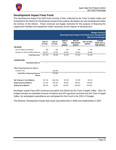

### <span id="page-22-0"></span>**Development Impact Fees Fund**

The Development Impact Fee (DIF) fund consists of fees collected by the Town of Apple Valley and forwarded to the District for Development Impact Fees paid by developers for new development within the territory of the District. These revenues are legally restricted for the purpose of financing fire suppression facilities and equipment made necessary by the impacts of development.

|                                                |                          |                          | <b>Budget Analysis</b><br>Developmental Impact Fund Multi-Year Comparison<br>2021-22 Final Budget |                                               |                                |                                                            |  |
|------------------------------------------------|--------------------------|--------------------------|---------------------------------------------------------------------------------------------------|-----------------------------------------------|--------------------------------|------------------------------------------------------------|--|
|                                                | 2018-19<br><b>ACTUAL</b> | 2019-20<br><b>ACTUAL</b> | 2020-21<br><b>FINAL</b><br><b>BUDGET</b>                                                          | 2021-22<br><b>PRELMINARY</b><br><b>BUDGET</b> | 2021-22 FINAL<br><b>BUDGET</b> | <b>CHANGE</b><br><b>FROM 2020-21</b><br><b>PRELIMINARY</b> |  |
| <b>REVENUES</b>                                |                          |                          |                                                                                                   |                                               |                                |                                                            |  |
| Use of Property and Money                      | 796                      | 981                      | 700                                                                                               | 700                                           | 700                            |                                                            |  |
| Charges for Services/Other Revenue             | 166,957                  | 55,325                   | 50,000                                                                                            | 50,000                                        | 50,000                         |                                                            |  |
| <b>Total Revenues</b>                          | 167,753                  | 56,306                   | 50,700                                                                                            | 50,700                                        | 50,700                         |                                                            |  |
| <b>EXPENDITURES</b>                            |                          |                          |                                                                                                   |                                               |                                |                                                            |  |
| <b>Total Expenditures</b>                      |                          |                          |                                                                                                   |                                               |                                |                                                            |  |
| <b>Other Financing Sources (Uses)</b>          |                          |                          |                                                                                                   |                                               |                                |                                                            |  |
| <b>Transfers Out</b>                           |                          | 252,500                  |                                                                                                   |                                               |                                |                                                            |  |
| <b>Total Other Financing Sources</b><br>(Uses) |                          | 252,500                  |                                                                                                   |                                               |                                |                                                            |  |
| Net Change in Fund Balance                     | 167,753                  | (196, 194)               | 50,700                                                                                            | 50,700                                        | 50,700                         |                                                            |  |
| <b>Beginning Fund Balance</b>                  | 127,432                  | 295,185                  | 98,991                                                                                            | 149,691                                       | 149,691                        |                                                            |  |
| <b>Ending Fund Balance</b>                     | 295,185                  | 98,991                   | 149,691                                                                                           | 200,391                                       | 200,391                        |                                                            |  |

Developer Impact Fees (DIF) revenues are paid to the District by the Town of Apple Valley. 2021-22 budget includes an estimated revenue of interest and DIF payments received from the Town of Apple Valley. No anticipated expenditures are anticipated for this Fund in the 2021-22 Budget.

The Districts' Development Impact fees study was performed in 2006 and implemented in 2007.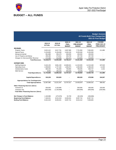

# <span id="page-23-0"></span>**BUDGET – ALL FUNDS**

|                                             |                          |                          |                                          |                                                |                                          | <b>Budget Analysis</b><br>All Funds Multi-Year Comparison<br>2021-22 Final Budget |
|---------------------------------------------|--------------------------|--------------------------|------------------------------------------|------------------------------------------------|------------------------------------------|-----------------------------------------------------------------------------------|
|                                             | 2018-19<br><b>ACTUAL</b> | 2019-20<br><b>ACTUAL</b> | 2020-21<br><b>FINAL</b><br><b>BUDGET</b> | 2021-22<br><b>PRELIMINARY</b><br><b>BUDGET</b> | 2021-22<br><b>FINAL</b><br><b>BUDGET</b> | <b>CHANGE</b><br><b>FROM 2021-22</b><br><b>PRELIMINARY</b>                        |
| <b>REVENUES</b>                             |                          |                          |                                          |                                                |                                          |                                                                                   |
| <b>Property Taxes</b>                       | 6,621,412                | 6,917,791                | 6,967,995                                | 7,751,950                                      | 7,963,835                                | 211,885                                                                           |
| <b>Special Taxes</b>                        | 5,154,893                | 5,136,458                | 5,363,150                                | 5,353,000                                      | 5,353,000                                |                                                                                   |
| Intergovernmental                           | 681,888                  | 305,479                  | 638,000                                  | 400,000                                        | 400,000                                  |                                                                                   |
| Use of Property and Money                   | 295,490                  | 275,551                  | 328,700                                  | 297,700                                        | 297,700                                  |                                                                                   |
| Charges for Services/Other Revenue          | 474,390                  | 310,090                  | 462,372                                  | 518,900                                        | 518,900                                  |                                                                                   |
| <b>Total Revenues</b>                       | 13,228,073               | 12,945,369               | 13,760,217                               | 14,321,550                                     | 14,533,435                               | 211,885                                                                           |
| <b>EXPENDITURES</b>                         |                          |                          |                                          |                                                |                                          |                                                                                   |
| <b>Staffing Expense</b>                     | 9,442,135                | 9,961,159                | 10,680,621                               | 11,315,505                                     | 11,513,448                               | 197,943                                                                           |
| <b>Operating Costs</b>                      | 1,596,802                | 1,757,160                | 1,906,873                                | 1,584,840                                      | 1,596,340                                | 11,500                                                                            |
| <b>Administrative Costs</b>                 | 686,354                  | 791,949                  | 769,994                                  | 798,305                                        | 800,747                                  | 2,442                                                                             |
| Debt Service                                | 8,555                    | 185,150                  | 350,029                                  | 10,200                                         | 10,200                                   |                                                                                   |
| <b>Total Expenditures</b>                   | 11,733,846               | 12,695,418               | 13,707,517                               | 13,708,850                                     | 13,920,735                               | 211,885                                                                           |
| <b>Capital Expenditures</b>                 | 333,239                  | 525,929                  |                                          | 695,029                                        | 879,596                                  | 184,567                                                                           |
| <b>Appropriations for Contingencies</b>     |                          |                          |                                          |                                                |                                          |                                                                                   |
| <b>Total Appropriations</b>                 | 12,067,085               | 13,221,347               | 13,707,517                               | 14,403,879                                     | 14,800,331                               | 396,452                                                                           |
| <b>Other Financing Sources (Uses)</b>       |                          |                          |                                          |                                                |                                          |                                                                                   |
| Transfers In                                | 550.000                  | 1,163,906                |                                          | 500.000                                        | 650.000                                  | 150,000                                                                           |
| <b>Transfers Out</b>                        | (550,000)                | (1, 163, 906)            |                                          | (500,000)                                      | (650,000)                                | (150,000)                                                                         |
| <b>Total Other Financing Sources (Uses)</b> |                          |                          |                                          |                                                |                                          |                                                                                   |
| Net Change in Fund Balance                  | 1,160,988                | (275, 978)               | 52,700                                   | (82, 329)                                      | (266, 896)                               |                                                                                   |
| <b>Beginning Fund Balance</b>               | 7,160,031                | 8,321,019                | 8,045,041                                | 8,097,741                                      | 8,097,741                                |                                                                                   |
| <b>Ending Fund Balance</b>                  | 8,321,019                | 8,045,041                | 8,097,741                                | 8,015,412                                      | 7,830,845                                |                                                                                   |